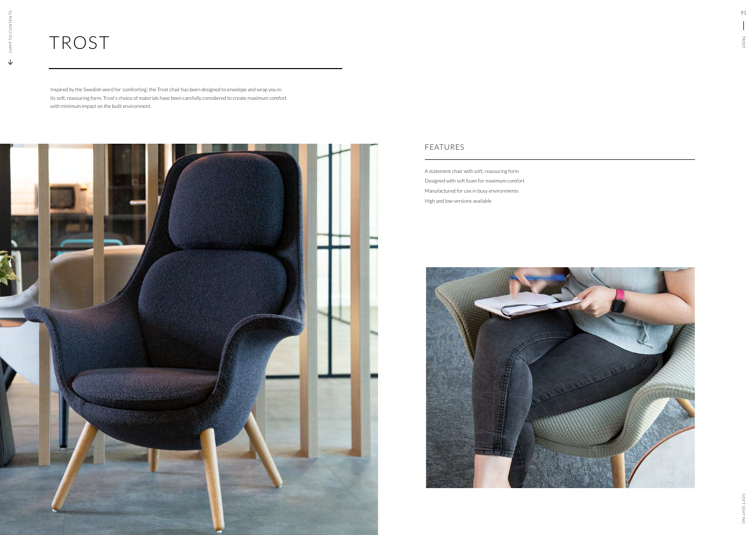## FEATURES

## TROST

A statement chair with soft, reassuring form Designed with soft foam for maximum comfort Manufactured for use in busy environments High and low versions available



Inspired by the Swedish word for 'comforting', the Trost chair has been designed to envelope and wrap you in its soft, reassuring form. Trost's choice of materials have been carefully considered to create maximum comfort with minimum impact on the built environment.